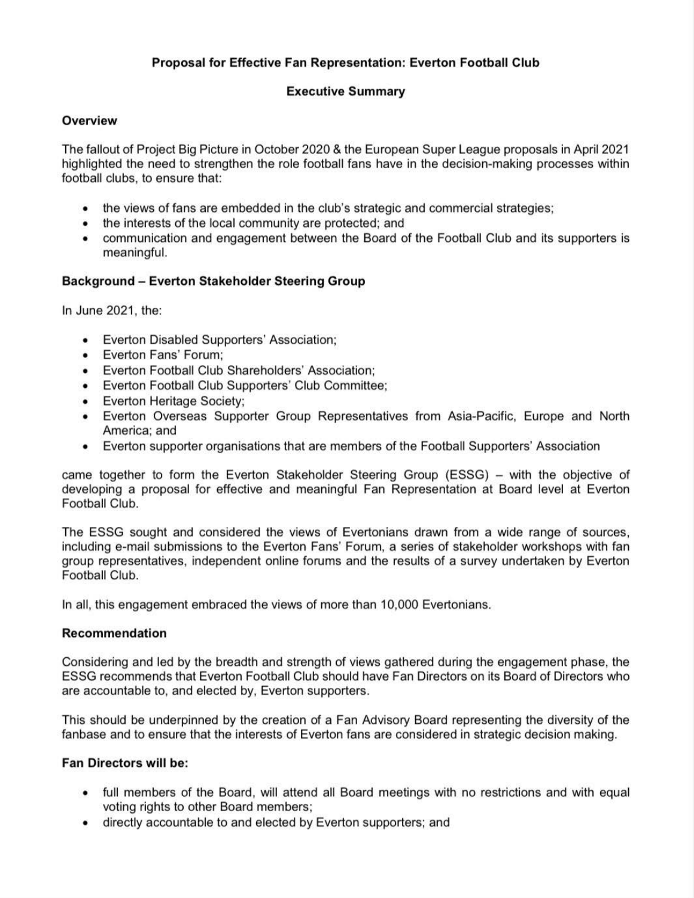### **Overview**

## **Proposal for Effective Fan Representation: Everton Football Club**

## **Executive Summary**

The fallout of Project Big Picture in October 2020 & the European Super League proposals in April 2021 highlighted the need to strengthen the role football fans have in the decision-making processes within football clubs, to ensure that:

- the views of fans are embedded in the club's strategic and commercial strategies;
- the interests of the local community are protected; and
- communication and engagement between the Board of the Football Club and its supporters is meaningful.

# **Background - Everton Stakeholder Steering Group**

came together to form the Everton Stakeholder Steering Group (ESSG) - with the objective of developing a proposal for effective and meaningful Fan Representation at Board level at Everton Football Club.

In June 2021, the:

- Everton Disabled Supporters' Association;
- Everton Fans' Forum;
- Everton Football Club Shareholders' Association;
- Everton Football Club Supporters' Club Committee;
- Everton Heritage Society;
- Everton Overseas Supporter Group Representatives from Asia-Pacific, Europe and North America; and
- Everton supporter organisations that are members of the Football Supporters' Association

The ESSG sought and considered the views of Evertonians drawn from a wide range of sources, including e-mail submissions to the Everton Fans' Forum, a series of stakeholder workshops with fan group representatives, independent online forums and the results of a survey undertaken by Everton Football Club.

In all, this engagement embraced the views of more than 10,000 Evertonians.

#### **Recommendation**

Considering and led by the breadth and strength of views gathered during the engagement phase, the ESSG recommends that Everton Football Club should have Fan Directors on its Board of Directors who are accountable to, and elected by, Everton supporters.

This should be underpinned by the creation of a Fan Advisory Board representing the diversity of the fanbase and to ensure that the interests of Everton fans are considered in strategic decision making.

## **Fan Directors will be:**

- full members of the Board, will attend all Board meetings with no restrictions and with equal voting rights to other Board members;
- directly accountable to and elected by Everton supporters; and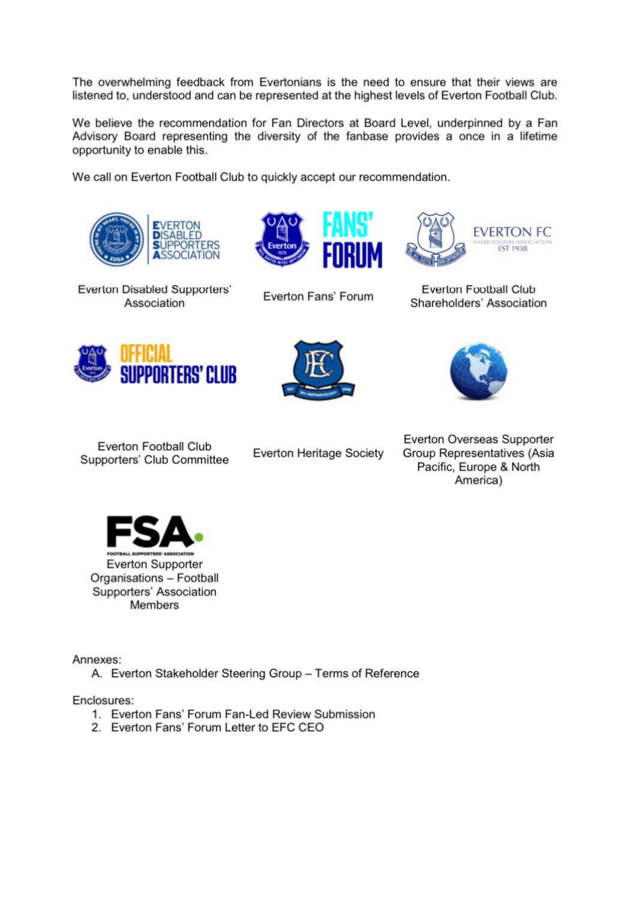The overwhelming feedback from Evertonians is the need to ensure that their views are listened to, understood and can be represented at the highest levels of Everton Football Club.

We believe the recommendation for Fan Directors at Board Level, underpinned by a Fan Advisory Board representing the diversity of the fanbase provides a once in a lifetime opportunity to enable this.

We call on Everton Football Club to quickly accept our recommendation.





Everton Disabled Supporters' Association

Everton Fans' Forum



Everton Football Club Shareholders' Association







**Everton Football Club** Supporters' Club Committee

**Everton Heritage Society** 

Everton Overseas Supporter Group Representatives (Asia Pacific, Europe & North America)



Annexes:

A. Everton Stakeholder Steering Group - Terms of Reference

Enclosures:

- 1. Everton Fans' Forum Fan-Led Review Submission
- 2. Everton Fans' Forum Letter to EFC CEO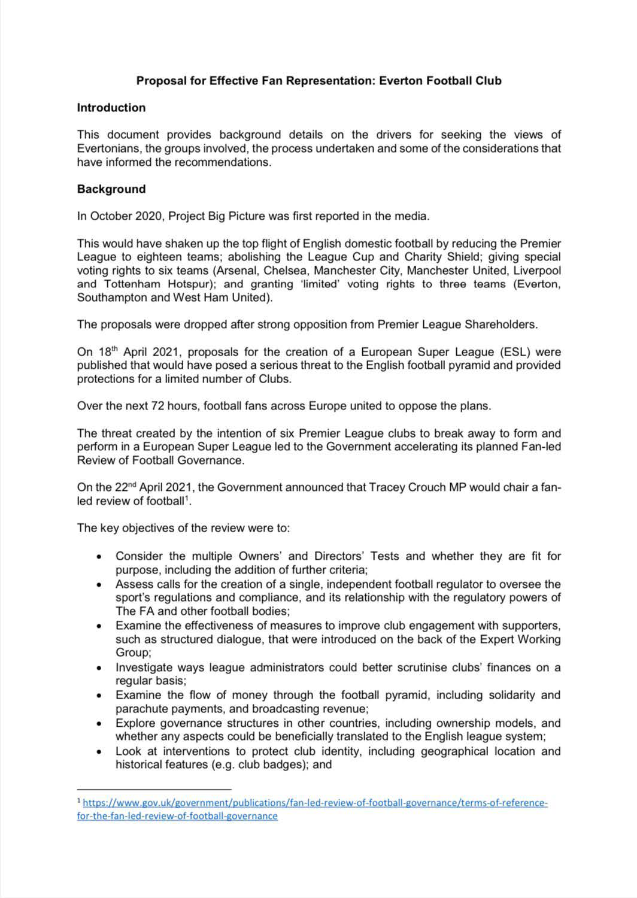## **Proposal for Effective Fan Representation: Everton Football Club**

#### **Introduction**

This document provides background details on the drivers for seeking the views of Evertonians, the groups involved, the process undertaken and some of the considerations that have informed the recommendations.

#### **Background**

In October 2020, Project Big Picture was first reported in the media.

On 18<sup>th</sup> April 2021, proposals for the creation of a European Super League (ESL) were published that would have posed a serious threat to the English football pyramid and provided protections for a limited number of Clubs.

This would have shaken up the top flight of English domestic football by reducing the Premier League to eighteen teams; abolishing the League Cup and Charity Shield; giving special voting rights to six teams (Arsenal, Chelsea, Manchester City, Manchester United, Liverpool and Tottenham Hotspur); and granting 'limited' voting rights to three teams (Everton, Southampton and West Ham United).

The proposals were dropped after strong opposition from Premier League Shareholders.

Over the next 72 hours, football fans across Europe united to oppose the plans.

The threat created by the intention of six Premier League clubs to break away to form and perform in a European Super League led to the Government accelerating its planned Fan-led Review of Football Governance.

On the 22<sup>nd</sup> April 2021, the Government announced that Tracey Crouch MP would chair a fanled review of football<sup>1</sup>.

The key objectives of the review were to:

- Consider the multiple Owners' and Directors' Tests and whether they are fit for purpose, including the addition of further criteria;
- Assess calls for the creation of a single, independent football regulator to oversee the sport's regulations and compliance, and its relationship with the regulatory powers of The FA and other football bodies;
- Examine the effectiveness of measures to improve club engagement with supporters, such as structured dialogue, that were introduced on the back of the Expert Working Group;
- Investigate ways league administrators could better scrutinise clubs' finances on a regular basis;
- Examine the flow of money through the football pyramid, including solidarity and parachute payments, and broadcasting revenue;
- Explore governance structures in other countries, including ownership models, and whether any aspects could be beneficially translated to the English league system;
- Look at interventions to protect club identity, including geographical location and historical features (e.g. club badges); and

<sup>&</sup>lt;sup>1</sup> https://www.gov.uk/government/publications/fan-led-review-of-football-governance/terms-of-referencefor-the-fan-led-reyiew-of-football-goyernance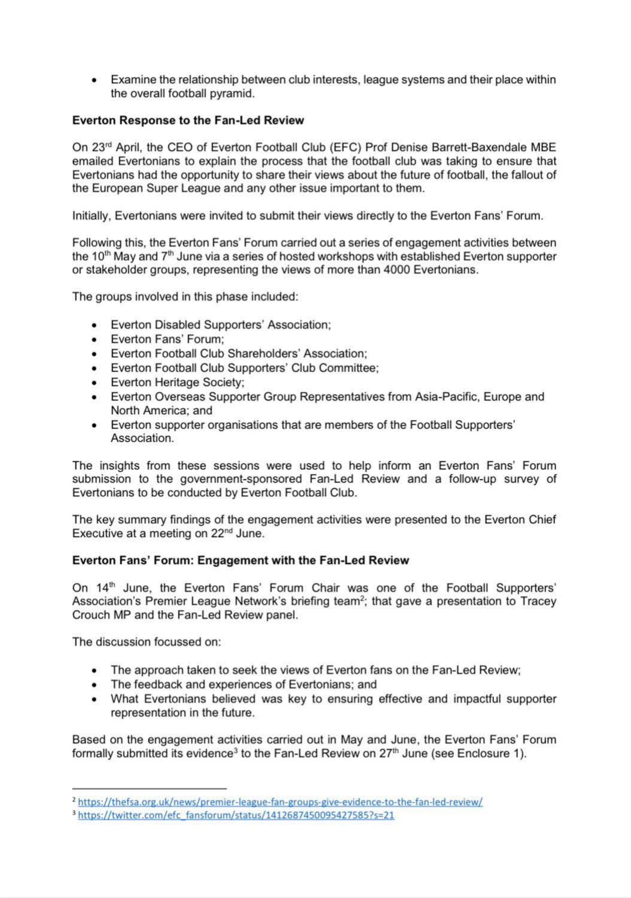• Examine the relationship between club interests, league systems and their place within the overall football pyramid.

#### **Everton Response to the Fan-Led Review**

On 23rd April, the CEO of Everton Football Club (EFC) Prof Denise Barrett-Baxendale MBE emailed Evertonians to explain the process that the football club was taking to ensure that Evertonians had the opportunity to share their views about the future of football, the fallout of the European Super League and any other issue important to them.

Initially, Evertonians were invited to submit their views directly to the Everton Fans' Forum.

Following this, the Everton Fans' Forum carried out a series of engagement activities between the 10<sup>th</sup> May and  $7<sup>th</sup>$  June via a series of hosted workshops with established Everton supporter or stakeholder groups, representing the views of more than 4000 Evertonians.

The key summary findings of the engagement activities were presented to the Everton Chief Executive at a meeting on 22<sup>nd</sup> June.

The groups involved in this phase included:

On 14<sup>th</sup> June, the Everton Fans' Forum Chair was one of the Football Supporters' Association's Premier League Network's briefing team<sup>2</sup>; that gave a presentation to Tracey Crouch MP and the Fan-Led Review panel.

Based on the engagement activities carried out in May and June, the Everton Fans' Forum formally submitted its evidence<sup>3</sup> to the Fan-Led Review on  $27<sup>th</sup>$  June (see Enclosure 1).

- Everton Disabled Supporters' Association;
- Everton Fans' Forum;
- Everton Football Club Shareholders' Association;
- Everton Football Club Supporters' Club Committee;
- Everton Heritage Society;
- Everton Overseas Supporter Group Representatives from Asia-Pacific, Europe and North America; and
- Everton supporter organisations that are members of the Football Supporters' Association.

The insights from these sessions were used to help inform an Everton Fans' Forum submission to the government-sponsored Fan-Led Review and a follow-up survey of Evertonians to be conducted by Everton Football Club.

# **Everton Fans' Forum: Engagement with the Fan-Led Review**

The discussion focussed on:

- The approach taken to seek the views of Everton fans on the Fan-Led Review;
- The feedback and experiences of Evertonians; and
- What Evertonians believed was key to ensuring effective and impactful supporter representation in the future.

<sup>2</sup>https://thefsa.org.uk/news/premier-league-fan-groups-give-evidence-to-the-fan-led-review/ 3 https://twitter.com/efc fansforum/status/141268745009542758S?s=21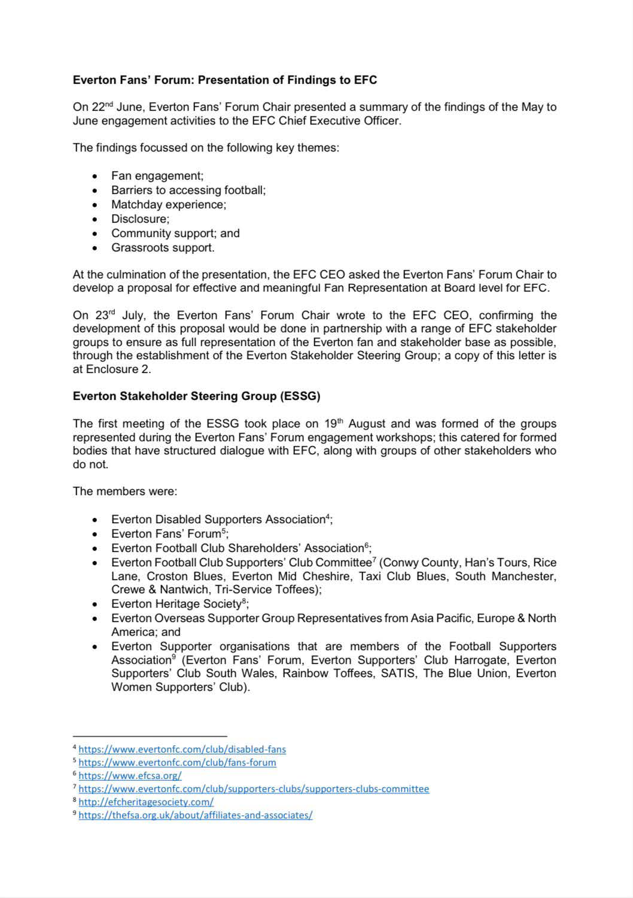# **Everton Fans' Forum: Presentation of Findings to EFC**

On 22<sup>nd</sup> June, Everton Fans' Forum Chair presented a summary of the findings of the May to June engagement activities to the EFC Chief Executive Officer.

The findings focussed on the following key themes:

- Fan engagement;
- Barriers to accessing football;
- Matchday experience;
- Disclosure;
- Community support; and
- Grassroots support.

At the culmination of the presentation, the EFC CEO asked the Everton Fans' Forum Chair to develop a proposal for effective and meaningful Fan Representation at Board level for EFC.

The first meeting of the ESSG took place on  $19<sup>th</sup>$  August and was formed of the groups represented during the Everton Fans' Forum engagement workshops; this catered for formed bodies that have structured dialogue with EFC, along with groups of other stakeholders who do not.

On 23rd July, the Everton Fans' Forum Chair wrote to the EFC CEO, confirming the development of this proposal would be done in partnership with a range of EFC stakeholder groups to ensure as full representation of the Everton fan and stakeholder base as possible, through the establishment of the Everton Stakeholder Steering Group; a copy of this letter is at Enclosure 2.

### **Everton Stakeholder Steering Group (ESSG)**

- Everton Disabled Supporters Association<sup>4</sup>;
- Everton Fans' Forum<sup>5</sup>;
- 
- Everton Football Club Shareholders' Association<sup>6</sup>;
- Everton Football Club Supporters' Club Committee<sup>7</sup> (Conwy County, Han's Tours, Rice Lane, Croston Blues, Everton Mid Cheshire, Taxi Club Blues, South Manchester, Crewe & Nantwich, Tri-Service Toffees);
- Everton Heritage Society<sup>8</sup>;
- Everton Overseas Supporter Group Representatives from Asia Pacific, Europe & North America; and
- Everton Supporter organisations that are members of the Football Supporters Association<sup>9</sup> (Everton Fans' Forum, Everton Supporters' Club Harrogate, Everton Supporters' Club South Wales, Rainbow Toffees, SATIS, The Blue Union, Everton Women Supporters' Club).

The members were:

<sup>4</sup>https://www.evertonfc.com/club/disabled-fans

s https://www.evertonfc.com/club/fans-forum

<sup>6</sup>https://www.efcsa.org/

<sup>&</sup>lt;sup>7</sup> https://www.evertonfc.com/club/supporters-clubs/supporters-clubs-committee

<sup>8</sup>http://efcheritagesociety.com/

<sup>9</sup> https://thefsa.org.uk/about/affiliates-and-associates/